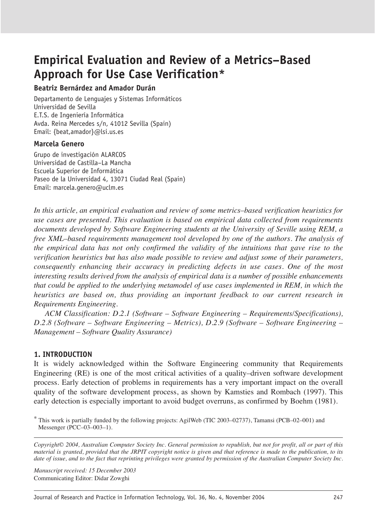## **Beatriz Bernárdez and Amador Durán**

Departamento de Lenguajes y Sistemas Informáticos Universidad de Sevilla E.T.S. de Ingeniería Informática Avda. Reina Mercedes s/n, 41012 Sevilla (Spain) Email: {beat,amador}@lsi.us.es

## **Marcela Genero**

Grupo de investigación ALARCOS Universidad de Castilla–La Mancha Escuela Superior de Informática Paseo de la Universidad 4, 13071 Ciudad Real (Spain) Email: marcela.genero@uclm.es

*In this article, an empirical evaluation and review of some metrics–based verification heuristics for use cases are presented. This evaluation is based on empirical data collected from requirements documents developed by Software Engineering students at the University of Seville using REM, a free XML–based requirements management tool developed by one of the authors. The analysis of the empirical data has not only confirmed the validity of the intuitions that gave rise to the verification heuristics but has also made possible to review and adjust some of their parameters, consequently enhancing their accuracy in predicting defects in use cases. One of the most interesting results derived from the analysis of empirical data is a number of possible enhancements that could be applied to the underlying metamodel of use cases implemented in REM, in which the heuristics are based on, thus providing an important feedback to our current research in Requirements Engineering.* 

*ACM Classification: D.2.1 (Software – Software Engineering – Requirements/Specifications), D.2.8 (Software – Software Engineering – Metrics), D.2.9 (Software – Software Engineering – Management – Software Quality Assurance)*

## **1. INTRODUCTION**

It is widely acknowledged within the Software Engineering community that Requirements Engineering (RE) is one of the most critical activities of a quality–driven software development process. Early detection of problems in requirements has a very important impact on the overall quality of the software development process, as shown by Kamsties and Rombach (1997). This early detection is especially important to avoid budget overruns, as confirmed by Boehm (1981).

\* This work is partially funded by the following projects: AgilWeb (TIC 2003–02737), Tamansi (PCB–02–001) and Messenger (PCC–03–003–1).

*Copyright© 2004, Australian Computer Society Inc. General permission to republish, but not for profit, all or part of this material is granted, provided that the JRPIT copyright notice is given and that reference is made to the publication, to its date of issue, and to the fact that reprinting privileges were granted by permission of the Australian Computer Society Inc.*

*Manuscript received: 15 December 2003* Communicating Editor: Didar Zowghi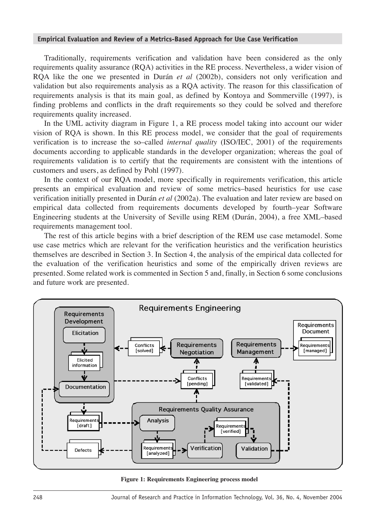Traditionally, requirements verification and validation have been considered as the only requirements quality assurance (RQA) activities in the RE process. Nevertheless, a wider vision of RQA like the one we presented in Durán *et al* (2002b), considers not only verification and validation but also requirements analysis as a RQA activity. The reason for this classification of requirements analysis is that its main goal, as defined by Kontoya and Sommerville (1997), is finding problems and conflicts in the draft requirements so they could be solved and therefore requirements quality increased.

In the UML activity diagram in Figure 1, a RE process model taking into account our wider vision of RQA is shown. In this RE process model, we consider that the goal of requirements verification is to increase the so–called *internal quality* (ISO/IEC, 2001) of the requirements documents according to applicable standards in the developer organization; whereas the goal of requirements validation is to certify that the requirements are consistent with the intentions of customers and users, as defined by Pohl (1997).

In the context of our RQA model, more specifically in requirements verification, this article presents an empirical evaluation and review of some metrics–based heuristics for use case verification initially presented in Durán *et al* (2002a). The evaluation and later review are based on empirical data collected from requirements documents developed by fourth–year Software Engineering students at the University of Seville using REM (Durán, 2004), a free XML–based requirements management tool.

The rest of this article begins with a brief description of the REM use case metamodel. Some use case metrics which are relevant for the verification heuristics and the verification heuristics themselves are described in Section 3. In Section 4, the analysis of the empirical data collected for the evaluation of the verification heuristics and some of the empirically driven reviews are presented. Some related work is commented in Section 5 and, finally, in Section 6 some conclusions and future work are presented.



**Figure 1: Requirements Engineering process model**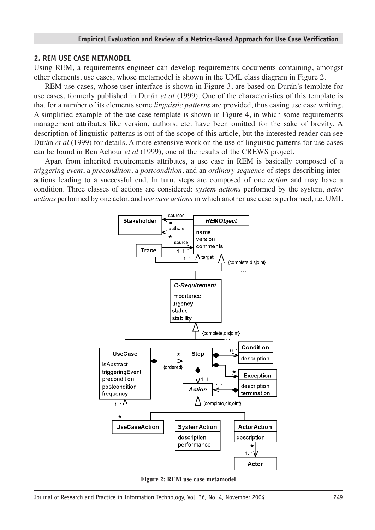#### **2. REM USE CASE METAMODEL**

Using REM, a requirements engineer can develop requirements documents containing, amongst other elements, use cases, whose metamodel is shown in the UML class diagram in Figure 2.

REM use cases, whose user interface is shown in Figure 3, are based on Durán's template for use cases, formerly published in Durán *et al* (1999). One of the characteristics of this template is that for a number of its elements some *linguistic patterns* are provided, thus easing use case writing. A simplified example of the use case template is shown in Figure 4, in which some requirements management attributes like version, authors, etc. have been omitted for the sake of brevity. A description of linguistic patterns is out of the scope of this article, but the interested reader can see Durán *et al* (1999) for details. A more extensive work on the use of linguistic patterns for use cases can be found in Ben Achour *et al* (1999), one of the results of the CREWS project.

Apart from inherited requirements attributes, a use case in REM is basically composed of a *triggering event*, a *precondition*, a *postcondition*, and an *ordinary sequence* of steps describing interactions leading to a successful end. In turn, steps are composed of one *action* and may have a condition. Three classes of actions are considered: *system actions* performed by the system, *actor actions* performed by one actor, and *use case actions* in which another use case is performed, i.e. UML



**Figure 2: REM use case metamodel**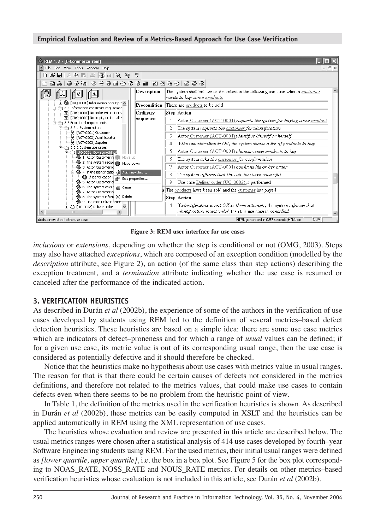

**Figure 3: REM user interface for use cases** 

*inclusions* or *extensions*, depending on whether the step is conditional or not (OMG, 2003). Steps may also have attached *exceptions*, which are composed of an exception condition (modelled by the *description* attribute, see Figure 2), an action (of the same class than step actions) describing the exception treatment, and a *termination* attribute indicating whether the use case is resumed or canceled after the performance of the indicated action.

## **3. VERIFICATION HEURISTICS**

As described in Durán *et al* (2002b), the experience of some of the authors in the verification of use cases developed by students using REM led to the definition of several metrics–based defect detection heuristics. These heuristics are based on a simple idea: there are some use case metrics which are indicators of defect–proneness and for which a range of *usual* values can be defined; if for a given use case, its metric value is out of its corresponding usual range, then the use case is considered as potentially defective and it should therefore be checked.

Notice that the heuristics make no hypothesis about use cases with metrics value in usual ranges. The reason for that is that there could be certain causes of defects not considered in the metrics definitions, and therefore not related to the metrics values, that could make use cases to contain defects even when there seems to be no problem from the heuristic point of view.

In Table 1, the definition of the metrics used in the verification heuristics is shown. As described in Durán *et al* (2002b), these metrics can be easily computed in XSLT and the heuristics can be applied automatically in REM using the XML representation of use cases.

The heuristics whose evaluation and review are presented in this article are described below. The usual metrics ranges were chosen after a statistical analysis of 414 use cases developed by fourth–year Software Engineering students using REM. For the used metrics, their initial usual ranges were defined as *[lower quartile, upper quartile]*, i.e. the box in a box plot. See Figure 5 for the box plot corresponding to NOAS\_RATE, NOSS\_RATE and NOUS\_RATE metrics. For details on other metrics–based verification heuristics whose evaluation is not included in this article, see Durán *et al* (2002b).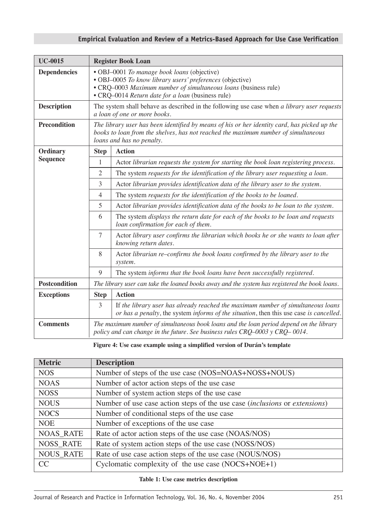| <b>UC-0015</b>       | <b>Register Book Loan</b>                                                                                                                                                                                                        |                                                                                                                                                                             |  |
|----------------------|----------------------------------------------------------------------------------------------------------------------------------------------------------------------------------------------------------------------------------|-----------------------------------------------------------------------------------------------------------------------------------------------------------------------------|--|
| <b>Dependencies</b>  | • OBJ-0001 To manage book loans (objective)<br>• OBJ-0005 To know library users' preferences (objective)<br>• CRQ-0003 Maximum number of simultaneous loans (business rule)<br>• CRQ-0014 Return date for a loan (business rule) |                                                                                                                                                                             |  |
| <b>Description</b>   | The system shall behave as described in the following use case when a library user requests<br>a loan of one or more books.                                                                                                      |                                                                                                                                                                             |  |
| <b>Precondition</b>  | The library user has been identified by means of his or her identity card, has picked up the<br>books to loan from the shelves, has not reached the maximum number of simultaneous<br>loans and has no penalty.                  |                                                                                                                                                                             |  |
| Ordinary             | <b>Step</b>                                                                                                                                                                                                                      | <b>Action</b>                                                                                                                                                               |  |
| <b>Sequence</b>      | 1                                                                                                                                                                                                                                | Actor librarian requests the system for starting the book loan registering process.                                                                                         |  |
|                      | $\overline{2}$                                                                                                                                                                                                                   | The system requests for the identification of the library user requesting a loan.                                                                                           |  |
|                      | 3                                                                                                                                                                                                                                | Actor librarian provides identification data of the library user to the system.                                                                                             |  |
|                      | $\overline{4}$                                                                                                                                                                                                                   | The system requests for the identification of the books to be loaned.                                                                                                       |  |
|                      | 5                                                                                                                                                                                                                                | Actor librarian provides identification data of the books to be loan to the system.                                                                                         |  |
|                      | 6                                                                                                                                                                                                                                | The system displays the return date for each of the books to be loan and requests<br>loan confirmation for each of them.                                                    |  |
|                      | $\tau$                                                                                                                                                                                                                           | Actor library user confirms the librarian which books he or she wants to loan after<br>knowing return dates.                                                                |  |
|                      | 8                                                                                                                                                                                                                                | Actor librarian re-confirms the book loans confirmed by the library user to the<br>system.                                                                                  |  |
|                      | 9                                                                                                                                                                                                                                | The system informs that the book loans have been successfully registered.                                                                                                   |  |
| <b>Postcondition</b> | The library user can take the loaned books away and the system has registered the book loans.                                                                                                                                    |                                                                                                                                                                             |  |
| <b>Exceptions</b>    | <b>Step</b>                                                                                                                                                                                                                      | <b>Action</b>                                                                                                                                                               |  |
|                      | 3                                                                                                                                                                                                                                | If the library user has already reached the maximum number of simultaneous loans<br>or has a penalty, the system informs of the situation, then this use case is cancelled. |  |
| <b>Comments</b>      | The maximum number of simultaneous book loans and the loan period depend on the library<br>policy and can change in the future. See business rules CRQ-0003 y CRQ-0014.                                                          |                                                                                                                                                                             |  |

**Figure 4: Use case example using a simplified version of Durán's template** 

| <b>Metric</b>    | <b>Description</b>                                                                |  |  |
|------------------|-----------------------------------------------------------------------------------|--|--|
| <b>NOS</b>       | Number of steps of the use case (NOS=NOAS+NOSS+NOUS)                              |  |  |
| <b>NOAS</b>      | Number of actor action steps of the use case                                      |  |  |
| <b>NOSS</b>      | Number of system action steps of the use case                                     |  |  |
| <b>NOUS</b>      | Number of use case action steps of the use case <i>(inclusions or extensions)</i> |  |  |
| <b>NOCS</b>      | Number of conditional steps of the use case                                       |  |  |
| <b>NOE</b>       | Number of exceptions of the use case                                              |  |  |
| <b>NOAS RATE</b> | Rate of actor action steps of the use case (NOAS/NOS)                             |  |  |
| <b>NOSS_RATE</b> | Rate of system action steps of the use case (NOSS/NOS)                            |  |  |
| <b>NOUS_RATE</b> | Rate of use case action steps of the use case (NOUS/NOS)                          |  |  |
| CC               | Cyclomatic complexity of the use case $(NOCS+NOE+1)$                              |  |  |

**Table 1: Use case metrics description**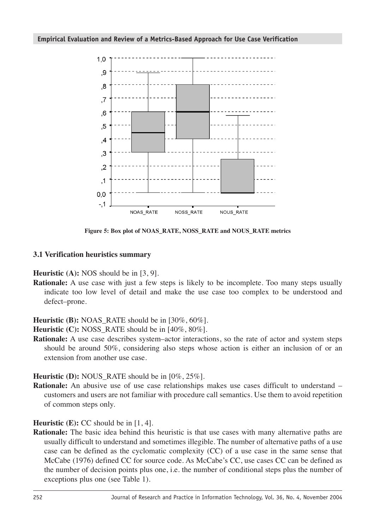

**Figure 5: Box plot of NOAS\_RATE, NOSS\_RATE and NOUS\_RATE metrics** 

## **3.1 Verification heuristics summary**

**Heuristic (A):** NOS should be in [3, 9].

**Rationale:** A use case with just a few steps is likely to be incomplete. Too many steps usually indicate too low level of detail and make the use case too complex to be understood and defect–prone.

**Heuristic (B):** NOAS\_RATE should be in [30%, 60%].

**Heuristic (C):** NOSS RATE should be in [40%, 80%].

**Rationale:** A use case describes system–actor interactions, so the rate of actor and system steps should be around 50%, considering also steps whose action is either an inclusion of or an extension from another use case.

**Heuristic (D):** NOUS\_RATE should be in [0%, 25%].

**Rationale:** An abusive use of use case relationships makes use cases difficult to understand – customers and users are not familiar with procedure call semantics. Use them to avoid repetition of common steps only.

**Heuristic (E):** CC should be in [1, 4].

**Rationale:** The basic idea behind this heuristic is that use cases with many alternative paths are usually difficult to understand and sometimes illegible. The number of alternative paths of a use case can be defined as the cyclomatic complexity (CC) of a use case in the same sense that McCabe (1976) defined CC for source code. As McCabe's CC, use cases CC can be defined as the number of decision points plus one, i.e. the number of conditional steps plus the number of exceptions plus one (see Table 1).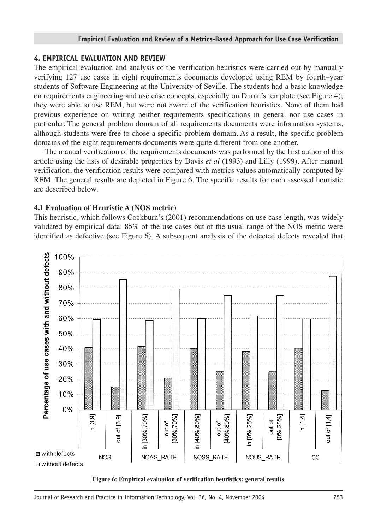## **4. EMPIRICAL EVALUATION AND REVIEW**

The empirical evaluation and analysis of the verification heuristics were carried out by manually verifying 127 use cases in eight requirements documents developed using REM by fourth–year students of Software Engineering at the University of Seville. The students had a basic knowledge on requirements engineering and use case concepts, especially on Duran's template (see Figure 4); they were able to use REM, but were not aware of the verification heuristics. None of them had previous experience on writing neither requirements specifications in general nor use cases in particular. The general problem domain of all requirements documents were information systems, although students were free to chose a specific problem domain. As a result, the specific problem domains of the eight requirements documents were quite different from one another.

The manual verification of the requirements documents was performed by the first author of this article using the lists of desirable properties by Davis *et al* (1993) and Lilly (1999). After manual verification, the verification results were compared with metrics values automatically computed by REM. The general results are depicted in Figure 6. The specific results for each assessed heuristic are described below.

# **4.1 Evaluation of Heuristic A (NOS metric)**

This heuristic, which follows Cockburn's (2001) recommendations on use case length, was widely validated by empirical data: 85% of the use cases out of the usual range of the NOS metric were identified as defective (see Figure 6). A subsequent analysis of the detected defects revealed that



**Figure 6: Empirical evaluation of verification heuristics: general results**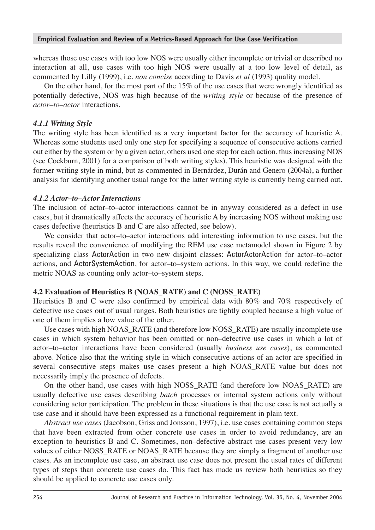whereas those use cases with too low NOS were usually either incomplete or trivial or described no interaction at all, use cases with too high NOS were usually at a too low level of detail, as commented by Lilly (1999), i.e. *non concise* according to Davis *et al* (1993) quality model.

On the other hand, for the most part of the 15% of the use cases that were wrongly identified as potentially defective, NOS was high because of the *writing style* or because of the presence of *actor–to–actor* interactions.

## *4.1.1 Writing Style*

The writing style has been identified as a very important factor for the accuracy of heuristic A. Whereas some students used only one step for specifying a sequence of consecutive actions carried out either by the system or by a given actor, others used one step for each action, thus increasing NOS (see Cockburn, 2001) for a comparison of both writing styles). This heuristic was designed with the former writing style in mind, but as commented in Bernárdez, Durán and Genero (2004a), a further analysis for identifying another usual range for the latter writing style is currently being carried out.

### *4.1.2 Actor–to–Actor Interactions*

The inclusion of actor–to–actor interactions cannot be in anyway considered as a defect in use cases, but it dramatically affects the accuracy of heuristic A by increasing NOS without making use cases defective (heuristics B and C are also affected, see below).

We consider that actor–to–actor interactions add interesting information to use cases, but the results reveal the convenience of modifying the REM use case metamodel shown in Figure 2 by specializing class ActorAction in two new disjoint classes: ActorActorAction for actor–to–actor actions, and ActorSystemAction, for actor–to–system actions. In this way, we could redefine the metric NOAS as counting only actor–to–system steps.

## **4.2 Evaluation of Heuristics B (NOAS\_RATE) and C (NOSS\_RATE)**

Heuristics B and C were also confirmed by empirical data with 80% and 70% respectively of defective use cases out of usual ranges. Both heuristics are tightly coupled because a high value of one of them implies a low value of the other.

Use cases with high NOAS\_RATE (and therefore low NOSS\_RATE) are usually incomplete use cases in which system behavior has been omitted or non–defective use cases in which a lot of actor–to–actor interactions have been considered (usually *business use cases*), as commented above. Notice also that the writing style in which consecutive actions of an actor are specified in several consecutive steps makes use cases present a high NOAS\_RATE value but does not necessarily imply the presence of defects.

On the other hand, use cases with high NOSS\_RATE (and therefore low NOAS\_RATE) are usually defective use cases describing *batch* processes or internal system actions only without considering actor participation. The problem in these situations is that the use case is not actually a use case and it should have been expressed as a functional requirement in plain text.

*Abstract use cases* (Jacobson, Griss and Jonsson, 1997), i.e. use cases containing common steps that have been extracted from other concrete use cases in order to avoid redundancy, are an exception to heuristics B and C. Sometimes, non–defective abstract use cases present very low values of either NOSS\_RATE or NOAS\_RATE because they are simply a fragment of another use cases. As an incomplete use case, an abstract use case does not present the usual rates of different types of steps than concrete use cases do. This fact has made us review both heuristics so they should be applied to concrete use cases only.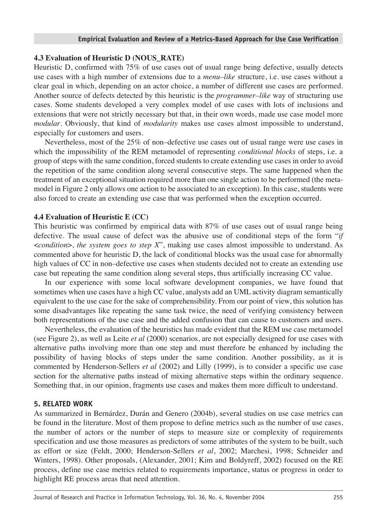## **4.3 Evaluation of Heuristic D (NOUS\_RATE)**

Heuristic D, confirmed with 75% of use cases out of usual range being defective, usually detects use cases with a high number of extensions due to a *menu–like* structure, i.e. use cases without a clear goal in which, depending on an actor choice, a number of different use cases are performed. Another source of defects detected by this heuristic is the *programmer–like* way of structuring use cases. Some students developed a very complex model of use cases with lots of inclusions and extensions that were not strictly necessary but that, in their own words, made use case model more *modular*. Obviously, that kind of *modularity* makes use cases almost impossible to understand, especially for customers and users.

Nevertheless, most of the 25% of non–defective use cases out of usual range were use cases in which the impossibility of the REM metamodel of representing *conditional blocks* of steps, i.e. a group of steps with the same condition, forced students to create extending use cases in order to avoid the repetition of the same condition along several consecutive steps. The same happened when the treatment of an exceptional situation required more than one single action to be performed (the metamodel in Figure 2 only allows one action to be associated to an exception). In this case, students were also forced to create an extending use case that was performed when the exception occurred.

## **4.4 Evaluation of Heuristic E (CC)**

This heuristic was confirmed by empirical data with 87% of use cases out of usual range being defective. The usual cause of defect was the abusive use of conditional steps of the form "*if* <*condition*>, *the system goes to step X*", making use cases almost impossible to understand. As commented above for heuristic D, the lack of conditional blocks was the usual case for abnormally high values of CC in non–defective use cases when students decided not to create an extending use case but repeating the same condition along several steps, thus artificially increasing CC value.

In our experience with some local software development companies, we have found that sometimes when use cases have a high CC value, analysts add an UML activity diagram semantically equivalent to the use case for the sake of comprehensibility. From our point of view, this solution has some disadvantages like repeating the same task twice, the need of verifying consistency between both representations of the use case and the added confusion that can cause to customers and users.

Nevertheless, the evaluation of the heuristics has made evident that the REM use case metamodel (see Figure 2), as well as Leite *et al* (2000) scenarios, are not especially designed for use cases with alternative paths involving more than one step and must therefore be enhanced by including the possibility of having blocks of steps under the same condition. Another possibility, as it is commented by Henderson-Sellers *et al* (2002) and Lilly (1999), is to consider a specific use case section for the alternative paths instead of mixing alternative steps within the ordinary sequence. Something that, in our opinion, fragments use cases and makes them more difficult to understand.

## **5. RELATED WORK**

As summarized in Bernárdez, Durán and Genero (2004b), several studies on use case metrics can be found in the literature. Most of them propose to define metrics such as the number of use cases, the number of actors or the number of steps to measure size or complexity of requirements specification and use those measures as predictors of some attributes of the system to be built, such as effort or size (Feldt, 2000; Henderson-Sellers *et al*, 2002; Marchesi, 1998; Schneider and Winters, 1998). Other proposals, (Alexander, 2001; Kim and Boldyreff, 2002) focused on the RE process, define use case metrics related to requirements importance, status or progress in order to highlight RE process areas that need attention.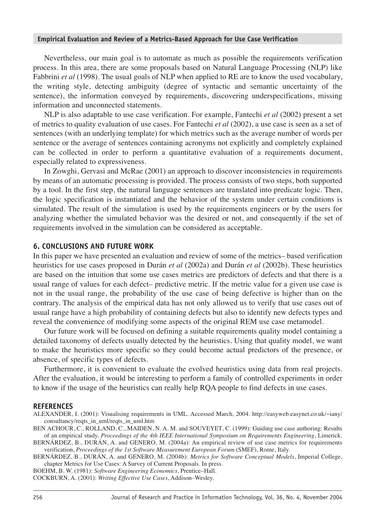Nevertheless, our main goal is to automate as much as possible the requirements verification process. In this area, there are some proposals based on Natural Language Processing (NLP) like Fabbrini *et al* (1998). The usual goals of NLP when applied to RE are to know the used vocabulary, the writing style, detecting ambiguity (degree of syntactic and semantic uncertainty of the sentence), the information conveyed by requirements, discovering underspecifications, missing information and unconnected statements.

NLP is also adaptable to use case verification. For example, Fantechi *et al* (2002) present a set of metrics to quality evaluation of use cases. For Fantechi *et al* (2002), a use case is seen as a set of sentences (with an underlying template) for which metrics such as the average number of words per sentence or the average of sentences containing acronyms not explicitly and completely explained can be collected in order to perform a quantitative evaluation of a requirements document, especially related to expressiveness.

In Zowghi, Gervasi and McRae (2001) an approach to discover inconsistencies in requirements by means of an automatic processing is provided. The process consists of two steps, both supported by a tool. In the first step, the natural language sentences are translated into predicate logic. Then, the logic specification is instantiated and the behavior of the system under certain conditions is simulated. The result of the simulation is used by the requirements engineers or by the users for analyzing whether the simulated behavior was the desired or not, and consequently if the set of requirements involved in the simulation can be considered as acceptable.

## **6. CONCLUSIONS AND FUTURE WORK**

In this paper we have presented an evaluation and review of some of the metrics– based verification heuristics for use cases proposed in Durán *et al* (2002a) and Durán *et al* (2002b). These heuristics are based on the intuition that some use cases metrics are predictors of defects and that there is a usual range of values for each defect– predictive metric. If the metric value for a given use case is not in the usual range, the probability of the use case of being defective is higher than on the contrary. The analysis of the empirical data has not only allowed us to verify that use cases out of usual range have a high probability of containing defects but also to identify new defects types and reveal the convenience of modifying some aspects of the original REM use case metamodel.

Our future work will be focused on defining a suitable requirements quality model containing a detailed taxonomy of defects usually detected by the heuristics. Using that quality model, we want to make the heuristics more specific so they could become actual predictors of the presence, or absence, of specific types of defects.

Furthermore, it is convenient to evaluate the evolved heuristics using data from real projects. After the evaluation, it would be interesting to perform a family of controlled experiments in order to know if the usage of the heuristics can really help RQA people to find defects in use cases.

#### **REFERENCES**

ALEXANDER, I. (2001): Visualising requirements in UML. Accessed March, 2004. http://easyweb.easynet.co.uk/~iany/ consultancy/reqts\_in\_uml/reqts\_in\_uml.htm

BEN ACHOUR, C., ROLLAND, C., MAIDEN, N. A. M. and SOUVEYET, C. (1999): Guiding use case authoring: Results of an empirical study, *Proceedings of the 4th IEEE International Symposium on Requirements Engineering*, Limerick.

BOEHM, B. W. (1981): *Software Engineering Economics*, Prentice–Hall.

COCKBURN, A. (2001): *Writing Effective Use Cases*, Addison–Wesley.

BERNÁRDEZ, B., DURÁN, A. and GENERO, M. (2004a): An empirical review of use case metrics for requirements verification, *Proceedings of the 1st Software Measurement European Forum* (SMEF), Rome, Italy.

BERNÁRDEZ, B., DURÁN, A. and GENERO, M. (2004b): *Metrics for Software Conceptual Models*, Imperial College, chapter Metrics for Use Cases: A Survey of Current Proposals. In press.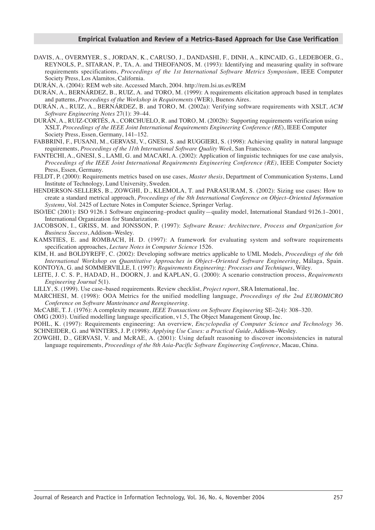- DAVIS, A., OVERMYER, S., JORDAN, K., CARUSO, J., DANDASHI, F., DINH, A., KINCAID, G., LEDEBOER, G., REYNOLS, P., SITARAN, P., TA, A. and THEOFANOS, M. (1993): Identifying and measuring quality in software requirements specifications, *Proceedings of the 1st International Software Metrics Symposium*, IEEE Computer Society Press, Los Alamitos, California.
- DURÁN, A. (2004): REM web site. Accessed March, 2004. http://rem.lsi.us.es/REM
- DURÁN, A., BERNÁRDEZ, B., RUIZ, A. and TORO, M. (1999): A requirements elicitation approach based in templates and patterns, *Proceedings of the Workshop in Requirements* (WER), Buenos Aires.
- DURÁN, A., RUIZ, A., BERNÁRDEZ, B. and TORO, M. (2002a): Verifying software requirements with XSLT, *ACM Software Engineering Notes* 27(1): 39–44.
- DURÁN, A., RUIZ-CORTÉS, A., CORCHUELO, R. and TORO, M. (2002b): Supporting requirements verificarion using XSLT, *Proceedings of the IEEE Joint International Requirements Engineering Conference (RE*), IEEE Computer Society Press, Essen, Germany, 141–152.
- FABBRINI, F., FUSANI, M., GERVASI, V., GNESI, S. and RUGGIERI, S. (1998): Achieving quality in natural language requirements, *Proceedings of the 11th International Software Quality Week*, San Francisco.
- FANTECHI, A., GNESI, S., LAMI, G. and MACARI, A. (2002): Application of linguistic techniques for use case analysis, *Proceedings of the IEEE Joint International Requirements Engineering Conference (RE)*, IEEE Computer Society Press, Essen, Germany.
- FELDT, P. (2000): Requirements metrics based on use cases, *Master thesis*, Department of Communication Systems, Lund Institute of Technology, Lund University, Sweden.
- HENDERSON-SELLERS, B., ZOWGHI, D., KLEMOLA, T. and PARASURAM, S. (2002): Sizing use cases: How to create a standard metrical approach, *Proceedings of the 8th International Conference on Object–Oriented Information Systems*, Vol. 2425 of Lecture Notes in Computer Science, Springer Verlag.
- ISO/IEC (2001): ISO 9126.1 Software engineering–product quality—quality model, International Standard 9126.1–2001, International Organization for Standarization.
- JACOBSON, I., GRISS, M. and JONSSON, P. (1997): *Software Reuse: Architecture, Process and Organization for Business Success*, Addison–Wesley.
- KAMSTIES, E. and ROMBACH, H. D. (1997): A framework for evaluating system and software requirements specification approaches, *Lecture Notes in Computer Science* 1526.
- KIM, H. and BOLDYREFF, C. (2002): Developing software metrics applicable to UML Models, *Proceedings of the 6th International Workshop on Quantitative Approaches in Object–Oriented Software Engineering*, Málaga, Spain. KONTOYA, G. and SOMMERVILLE, I. (1997): *Requirements Engineering: Processes and Techniques*, Wiley.
- LEITE, J. C. S. P., HADAD, H., DOORN, J. and KAPLAN, G. (2000): A scenario construction process, *Requirements Engineering Journal* 5(1).
- LILLY, S. (1999). Use case–based requirements. Review checklist, *Project report*, SRA International, Inc.
- MARCHESI, M. (1998): OOA Metrics for the unified modelling language, *Proceedings of the 2nd EUROMICRO Conference on Software Manteinance and Reengineering*.
- McCABE, T. J. (1976): A complexity measure, *IEEE Transactions on Software Engineering* SE–2(4): 308–320.
- OMG (2003). Unified modelling language specification, v1.5, The Object Management Group, Inc.
- POHL, K. (1997): Requirements engineering: An overview, *Encyclopedia of Computer Science and Technology* 36. SCHNEIDER, G. and WINTERS, J. P. (1998): *Applying Use Cases: a Practical Guide*, Addison–Wesley.
- ZOWGHI, D., GERVASI, V. and McRAE, A. (2001): Using default reasoning to discover inconsistencies in natural language requirements, *Proceedings of the 8th Asia-Pacific Software Engineering Conference*, Macau, China.